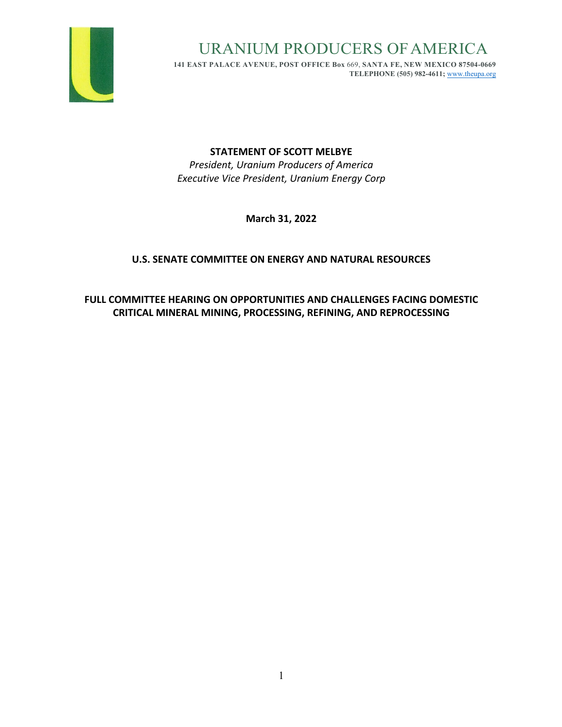

URANIUM PRODUCERS OFAMERICA

**141 EAST PALACE AVENUE, POST OFFICE Box** 669, **SANTA FE, NEW MEXICO 87504-0669 TELEPHONE (505) 982-4611;** www.theupa.org

# **STATEMENT OF SCOTT MELBYE**

*President, Uranium Producers of America Executive Vice President, Uranium Energy Corp*

**March 31, 2022**

# **U.S. SENATE COMMITTEE ON ENERGY AND NATURAL RESOURCES**

**FULL COMMITTEE HEARING ON OPPORTUNITIES AND CHALLENGES FACING DOMESTIC CRITICAL MINERAL MINING, PROCESSING, REFINING, AND REPROCESSING**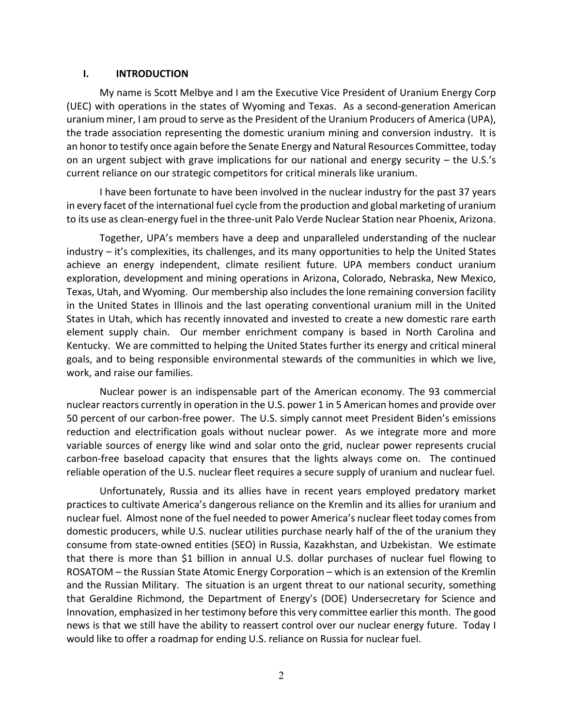#### **I. INTRODUCTION**

My name is Scott Melbye and I am the Executive Vice President of Uranium Energy Corp (UEC) with operations in the states of Wyoming and Texas. As a second-generation American uranium miner, I am proud to serve as the President of the Uranium Producers of America (UPA), the trade association representing the domestic uranium mining and conversion industry. It is an honor to testify once again before the Senate Energy and Natural Resources Committee, today on an urgent subject with grave implications for our national and energy security – the U.S.'s current reliance on our strategic competitors for critical minerals like uranium.

I have been fortunate to have been involved in the nuclear industry for the past 37 years in every facet of the international fuel cycle from the production and global marketing of uranium to its use as clean-energy fuel in the three-unit Palo Verde Nuclear Station near Phoenix, Arizona.

Together, UPA's members have a deep and unparalleled understanding of the nuclear industry – it's complexities, its challenges, and its many opportunities to help the United States achieve an energy independent, climate resilient future. UPA members conduct uranium exploration, development and mining operations in Arizona, Colorado, Nebraska, New Mexico, Texas, Utah, and Wyoming. Our membership also includes the lone remaining conversion facility in the United States in Illinois and the last operating conventional uranium mill in the United States in Utah, which has recently innovated and invested to create a new domestic rare earth element supply chain. Our member enrichment company is based in North Carolina and Kentucky. We are committed to helping the United States further its energy and critical mineral goals, and to being responsible environmental stewards of the communities in which we live, work, and raise our families.

Nuclear power is an indispensable part of the American economy. The 93 commercial nuclear reactors currently in operation in the U.S. power 1 in 5 American homes and provide over 50 percent of our carbon-free power. The U.S. simply cannot meet President Biden's emissions reduction and electrification goals without nuclear power. As we integrate more and more variable sources of energy like wind and solar onto the grid, nuclear power represents crucial carbon-free baseload capacity that ensures that the lights always come on. The continued reliable operation of the U.S. nuclear fleet requires a secure supply of uranium and nuclear fuel.

Unfortunately, Russia and its allies have in recent years employed predatory market practices to cultivate America's dangerous reliance on the Kremlin and its allies for uranium and nuclear fuel. Almost none of the fuel needed to power America's nuclear fleet today comesfrom domestic producers, while U.S. nuclear utilities purchase nearly half of the of the uranium they consume from state-owned entities (SEO) in Russia, Kazakhstan, and Uzbekistan. We estimate that there is more than \$1 billion in annual U.S. dollar purchases of nuclear fuel flowing to ROSATOM – the Russian State Atomic Energy Corporation – which is an extension of the Kremlin and the Russian Military. The situation is an urgent threat to our national security, something that Geraldine Richmond, the Department of Energy's (DOE) Undersecretary for Science and Innovation, emphasized in her testimony before this very committee earlier this month. The good news is that we still have the ability to reassert control over our nuclear energy future. Today I would like to offer a roadmap for ending U.S. reliance on Russia for nuclear fuel.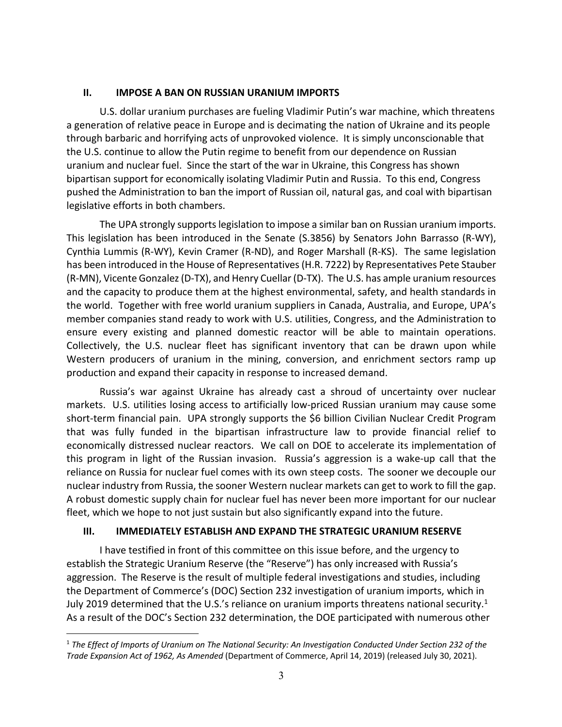# **II. IMPOSE A BAN ON RUSSIAN URANIUM IMPORTS**

U.S. dollar uranium purchases are fueling Vladimir Putin's war machine, which threatens a generation of relative peace in Europe and is decimating the nation of Ukraine and its people through barbaric and horrifying acts of unprovoked violence. It is simply unconscionable that the U.S. continue to allow the Putin regime to benefit from our dependence on Russian uranium and nuclear fuel. Since the start of the war in Ukraine, this Congress has shown bipartisan support for economically isolating Vladimir Putin and Russia. To this end, Congress pushed the Administration to ban the import of Russian oil, natural gas, and coal with bipartisan legislative efforts in both chambers.

The UPA strongly supports legislation to impose a similar ban on Russian uranium imports. This legislation has been introduced in the Senate (S.3856) by Senators John Barrasso (R-WY), Cynthia Lummis (R-WY), Kevin Cramer (R-ND), and Roger Marshall (R-KS). The same legislation has been introduced in the House of Representatives(H.R. 7222) by Representatives Pete Stauber (R-MN), Vicente Gonzalez (D-TX), and Henry Cuellar (D-TX). The U.S. has ample uranium resources and the capacity to produce them at the highest environmental, safety, and health standards in the world. Together with free world uranium suppliers in Canada, Australia, and Europe, UPA's member companies stand ready to work with U.S. utilities, Congress, and the Administration to ensure every existing and planned domestic reactor will be able to maintain operations. Collectively, the U.S. nuclear fleet has significant inventory that can be drawn upon while Western producers of uranium in the mining, conversion, and enrichment sectors ramp up production and expand their capacity in response to increased demand.

Russia's war against Ukraine has already cast a shroud of uncertainty over nuclear markets. U.S. utilities losing access to artificially low-priced Russian uranium may cause some short-term financial pain. UPA strongly supports the \$6 billion Civilian Nuclear Credit Program that was fully funded in the bipartisan infrastructure law to provide financial relief to economically distressed nuclear reactors. We call on DOE to accelerate its implementation of this program in light of the Russian invasion. Russia's aggression is a wake-up call that the reliance on Russia for nuclear fuel comes with its own steep costs. The sooner we decouple our nuclear industry from Russia, the sooner Western nuclear markets can get to work to fill the gap. A robust domestic supply chain for nuclear fuel has never been more important for our nuclear fleet, which we hope to not just sustain but also significantly expand into the future.

### **III. IMMEDIATELY ESTABLISH AND EXPAND THE STRATEGIC URANIUM RESERVE**

I have testified in front of this committee on this issue before, and the urgency to establish the Strategic Uranium Reserve (the "Reserve") has only increased with Russia's aggression. The Reserve is the result of multiple federal investigations and studies, including the Department of Commerce's (DOC) Section 232 investigation of uranium imports, which in July 2019 determined that the U.S.'s reliance on uranium imports threatens national security.<sup>1</sup> As a result of the DOC's Section 232 determination, the DOE participated with numerous other

<sup>1</sup> *The Effect of Imports of Uranium on The National Security: An Investigation Conducted Under Section 232 of the Trade Expansion Act of 1962, As Amended* (Department of Commerce, April 14, 2019) (released July 30, 2021).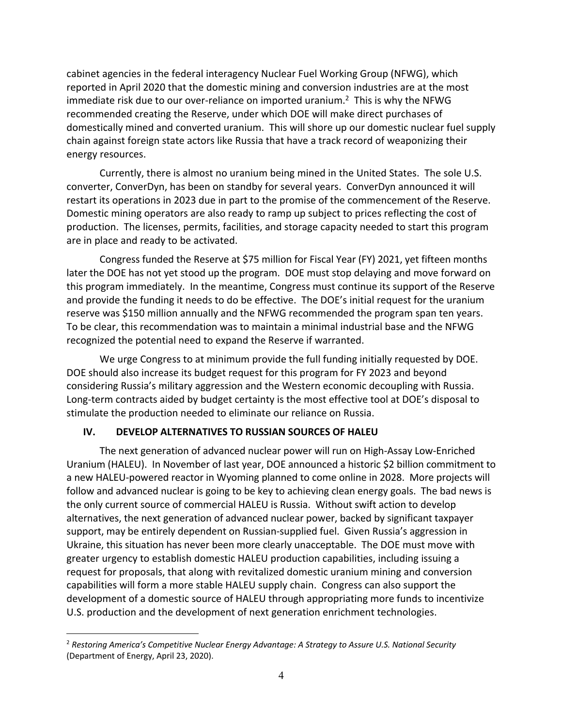cabinet agencies in the federal interagency Nuclear Fuel Working Group (NFWG), which reported in April 2020 that the domestic mining and conversion industries are at the most immediate risk due to our over-reliance on imported uranium.<sup>2</sup> This is why the NFWG recommended creating the Reserve, under which DOE will make direct purchases of domestically mined and converted uranium. This will shore up our domestic nuclear fuel supply chain against foreign state actors like Russia that have a track record of weaponizing their energy resources.

Currently, there is almost no uranium being mined in the United States. The sole U.S. converter, ConverDyn, has been on standby for several years. ConverDyn announced it will restart its operations in 2023 due in part to the promise of the commencement of the Reserve. Domestic mining operators are also ready to ramp up subject to prices reflecting the cost of production. The licenses, permits, facilities, and storage capacity needed to start this program are in place and ready to be activated.

Congress funded the Reserve at \$75 million for Fiscal Year (FY) 2021, yet fifteen months later the DOE has not yet stood up the program. DOE must stop delaying and move forward on this program immediately. In the meantime, Congress must continue its support of the Reserve and provide the funding it needs to do be effective. The DOE's initial request for the uranium reserve was \$150 million annually and the NFWG recommended the program span ten years. To be clear, this recommendation was to maintain a minimal industrial base and the NFWG recognized the potential need to expand the Reserve if warranted.

We urge Congress to at minimum provide the full funding initially requested by DOE. DOE should also increase its budget request for this program for FY 2023 and beyond considering Russia's military aggression and the Western economic decoupling with Russia. Long-term contracts aided by budget certainty is the most effective tool at DOE's disposal to stimulate the production needed to eliminate our reliance on Russia.

### **IV. DEVELOP ALTERNATIVES TO RUSSIAN SOURCES OF HALEU**

The next generation of advanced nuclear power will run on High-Assay Low-Enriched Uranium (HALEU). In November of last year, DOE announced a historic \$2 billion commitment to a new HALEU-powered reactor in Wyoming planned to come online in 2028. More projects will follow and advanced nuclear is going to be key to achieving clean energy goals. The bad news is the only current source of commercial HALEU is Russia. Without swift action to develop alternatives, the next generation of advanced nuclear power, backed by significant taxpayer support, may be entirely dependent on Russian-supplied fuel. Given Russia's aggression in Ukraine, this situation has never been more clearly unacceptable. The DOE must move with greater urgency to establish domestic HALEU production capabilities, including issuing a request for proposals, that along with revitalized domestic uranium mining and conversion capabilities will form a more stable HALEU supply chain. Congress can also support the development of a domestic source of HALEU through appropriating more funds to incentivize U.S. production and the development of next generation enrichment technologies.

<sup>2</sup> *Restoring America's Competitive Nuclear Energy Advantage: A Strategy to Assure U.S. National Security* (Department of Energy, April 23, 2020).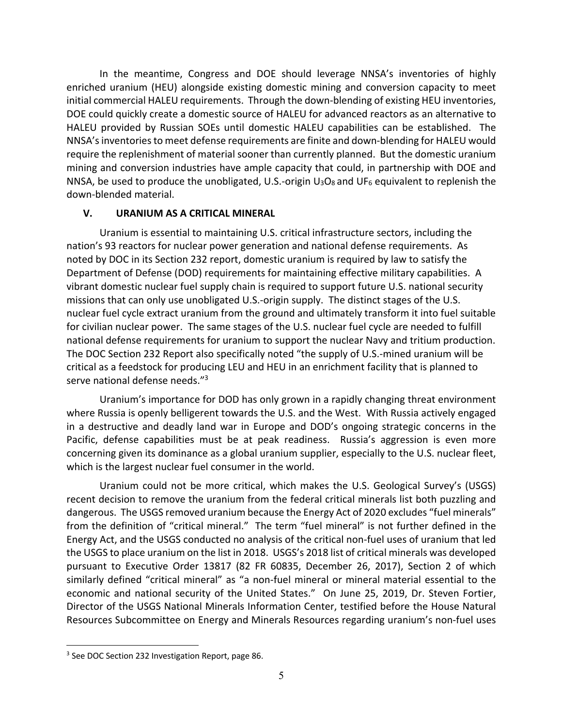In the meantime, Congress and DOE should leverage NNSA's inventories of highly enriched uranium (HEU) alongside existing domestic mining and conversion capacity to meet initial commercial HALEU requirements. Through the down-blending of existing HEU inventories, DOE could quickly create a domestic source of HALEU for advanced reactors as an alternative to HALEU provided by Russian SOEs until domestic HALEU capabilities can be established. The NNSA's inventories to meet defense requirements are finite and down-blending for HALEU would require the replenishment of material sooner than currently planned. But the domestic uranium mining and conversion industries have ample capacity that could, in partnership with DOE and NNSA, be used to produce the unobligated, U.S.-origin  $U_3O_8$  and UF<sub>6</sub> equivalent to replenish the down-blended material.

### **V. URANIUM AS A CRITICAL MINERAL**

Uranium is essential to maintaining U.S. critical infrastructure sectors, including the nation's 93 reactors for nuclear power generation and national defense requirements. As noted by DOC in its Section 232 report, domestic uranium is required by law to satisfy the Department of Defense (DOD) requirements for maintaining effective military capabilities. A vibrant domestic nuclear fuel supply chain is required to support future U.S. national security missions that can only use unobligated U.S.-origin supply. The distinct stages of the U.S. nuclear fuel cycle extract uranium from the ground and ultimately transform it into fuel suitable for civilian nuclear power. The same stages of the U.S. nuclear fuel cycle are needed to fulfill national defense requirements for uranium to support the nuclear Navy and tritium production. The DOC Section 232 Report also specifically noted "the supply of U.S.-mined uranium will be critical as a feedstock for producing LEU and HEU in an enrichment facility that is planned to serve national defense needs."3

Uranium's importance for DOD has only grown in a rapidly changing threat environment where Russia is openly belligerent towards the U.S. and the West. With Russia actively engaged in a destructive and deadly land war in Europe and DOD's ongoing strategic concerns in the Pacific, defense capabilities must be at peak readiness. Russia's aggression is even more concerning given its dominance as a global uranium supplier, especially to the U.S. nuclear fleet, which is the largest nuclear fuel consumer in the world.

Uranium could not be more critical, which makes the U.S. Geological Survey's (USGS) recent decision to remove the uranium from the federal critical minerals list both puzzling and dangerous. The USGS removed uranium because the Energy Act of 2020 excludes "fuel minerals" from the definition of "critical mineral." The term "fuel mineral" is not further defined in the Energy Act, and the USGS conducted no analysis of the critical non-fuel uses of uranium that led the USGS to place uranium on the list in 2018. USGS's 2018 list of critical minerals was developed pursuant to Executive Order 13817 (82 FR 60835, December 26, 2017), Section 2 of which similarly defined "critical mineral" as "a non-fuel mineral or mineral material essential to the economic and national security of the United States." On June 25, 2019, Dr. Steven Fortier, Director of the USGS National Minerals Information Center, testified before the House Natural Resources Subcommittee on Energy and Minerals Resources regarding uranium's non-fuel uses

<sup>&</sup>lt;sup>3</sup> See DOC Section 232 Investigation Report, page 86.